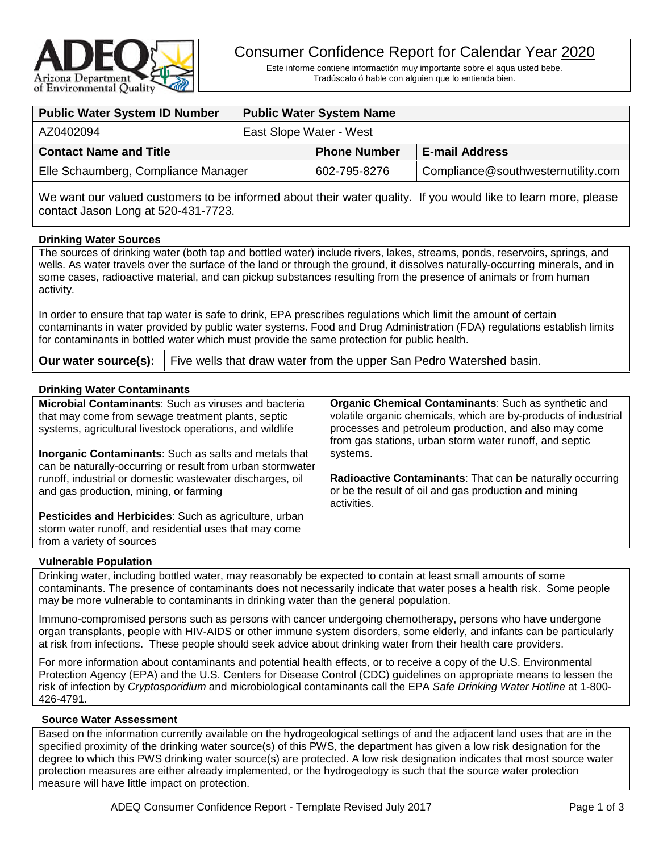

# Consumer Confidence Report for Calendar Year 2020

Este informe contiene informactión muy importante sobre el aqua usted bebe. Tradúscalo ó hable con alguien que lo entienda bien.

| <b>Public Water System ID Number</b> | <b>Public Water System Name</b> |                     |                                    |  |  |
|--------------------------------------|---------------------------------|---------------------|------------------------------------|--|--|
| AZ0402094                            | East Slope Water - West         |                     |                                    |  |  |
| <b>Contact Name and Title</b>        |                                 | <b>Phone Number</b> | <b>E-mail Address</b>              |  |  |
| Elle Schaumberg, Compliance Manager  |                                 | 602-795-8276        | Compliance@southwesternutility.com |  |  |
|                                      |                                 |                     |                                    |  |  |

We want our valued customers to be informed about their water quality. If you would like to learn more, please contact Jason Long at 520-431-7723.

### **Drinking Water Sources**

The sources of drinking water (both tap and bottled water) include rivers, lakes, streams, ponds, reservoirs, springs, and wells. As water travels over the surface of the land or through the ground, it dissolves naturally-occurring minerals, and in some cases, radioactive material, and can pickup substances resulting from the presence of animals or from human activity.

In order to ensure that tap water is safe to drink, EPA prescribes regulations which limit the amount of certain contaminants in water provided by public water systems. Food and Drug Administration (FDA) regulations establish limits for contaminants in bottled water which must provide the same protection for public health.

**Our water source(s):** | Five wells that draw water from the upper San Pedro Watershed basin.

### **Drinking Water Contaminants**

| Drinking water Contaminants                                                                                                                                            |                                                                                                                                                                                                                                                    |
|------------------------------------------------------------------------------------------------------------------------------------------------------------------------|----------------------------------------------------------------------------------------------------------------------------------------------------------------------------------------------------------------------------------------------------|
| Microbial Contaminants: Such as viruses and bacteria<br>that may come from sewage treatment plants, septic<br>systems, agricultural livestock operations, and wildlife | <b>Organic Chemical Contaminants:</b> Such as synthetic and<br>volatile organic chemicals, which are by-products of industrial<br>processes and petroleum production, and also may come<br>from gas stations, urban storm water runoff, and septic |
| <b>Inorganic Contaminants:</b> Such as salts and metals that<br>can be naturally-occurring or result from urban stormwater                                             | systems.                                                                                                                                                                                                                                           |
| runoff, industrial or domestic wastewater discharges, oil<br>and gas production, mining, or farming                                                                    | Radioactive Contaminants: That can be naturally occurring<br>or be the result of oil and gas production and mining<br>activities.                                                                                                                  |
| <b>Pesticides and Herbicides:</b> Such as agriculture, urban                                                                                                           |                                                                                                                                                                                                                                                    |

## from a variety of sources **Vulnerable Population**

storm water runoff, and residential uses that may come

Drinking water, including bottled water, may reasonably be expected to contain at least small amounts of some contaminants. The presence of contaminants does not necessarily indicate that water poses a health risk. Some people may be more vulnerable to contaminants in drinking water than the general population.

Immuno-compromised persons such as persons with cancer undergoing chemotherapy, persons who have undergone organ transplants, people with HIV-AIDS or other immune system disorders, some elderly, and infants can be particularly at risk from infections. These people should seek advice about drinking water from their health care providers.

For more information about contaminants and potential health effects, or to receive a copy of the U.S. Environmental Protection Agency (EPA) and the U.S. Centers for Disease Control (CDC) guidelines on appropriate means to lessen the risk of infection by *Cryptosporidium* and microbiological contaminants call the EPA *Safe Drinking Water Hotline* at 1-800- 426-4791.

### **Source Water Assessment**

Based on the information currently available on the hydrogeological settings of and the adjacent land uses that are in the specified proximity of the drinking water source(s) of this PWS, the department has given a low risk designation for the degree to which this PWS drinking water source(s) are protected. A low risk designation indicates that most source water protection measures are either already implemented, or the hydrogeology is such that the source water protection measure will have little impact on protection.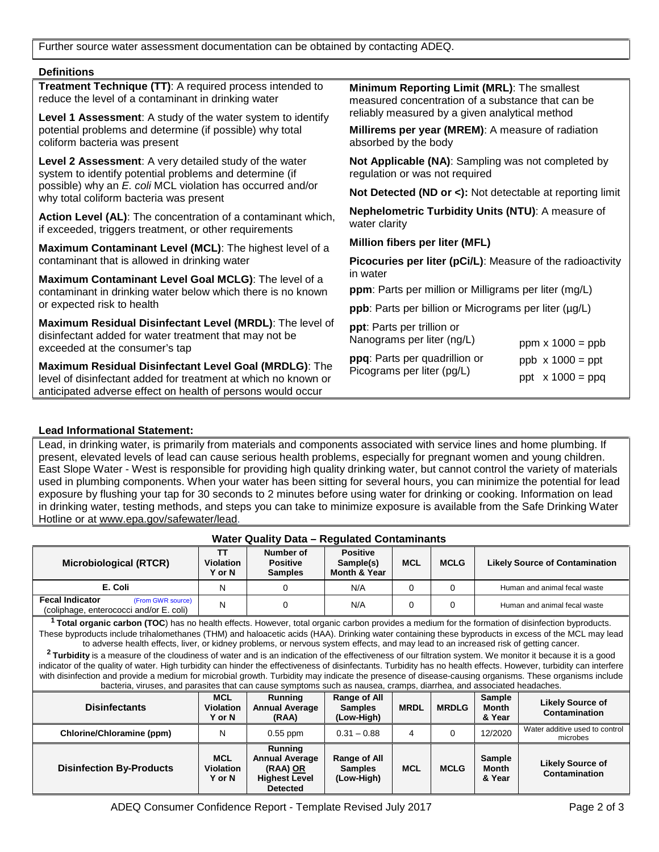Further source water assessment documentation can be obtained by contacting ADEQ.

#### **Definitions**

|                                                                                                                               | Treatment Technique (TT): A required process intended to<br>reduce the level of a contaminant in drinking water                                      | Minimum Reporting Limit (MRL): The smallest<br>measured concentration of a substance that can be |  |  |  |  |  |
|-------------------------------------------------------------------------------------------------------------------------------|------------------------------------------------------------------------------------------------------------------------------------------------------|--------------------------------------------------------------------------------------------------|--|--|--|--|--|
|                                                                                                                               | Level 1 Assessment: A study of the water system to identify                                                                                          | reliably measured by a given analytical method                                                   |  |  |  |  |  |
|                                                                                                                               | potential problems and determine (if possible) why total<br>coliform bacteria was present                                                            | Millirems per year (MREM): A measure of radiation<br>absorbed by the body                        |  |  |  |  |  |
|                                                                                                                               | Level 2 Assessment: A very detailed study of the water<br>system to identify potential problems and determine (if                                    | Not Applicable (NA): Sampling was not completed by<br>regulation or was not required             |  |  |  |  |  |
| possible) why an E. coli MCL violation has occurred and/or<br>why total coliform bacteria was present                         |                                                                                                                                                      | Not Detected (ND or <): Not detectable at reporting limit                                        |  |  |  |  |  |
|                                                                                                                               | Action Level (AL): The concentration of a contaminant which,<br>if exceeded, triggers treatment, or other requirements                               | Nephelometric Turbidity Units (NTU): A measure of<br>water clarity                               |  |  |  |  |  |
|                                                                                                                               | Maximum Contaminant Level (MCL): The highest level of a                                                                                              | Million fibers per liter (MFL)                                                                   |  |  |  |  |  |
|                                                                                                                               | contaminant that is allowed in drinking water                                                                                                        | <b>Picocuries per liter (pCi/L):</b> Measure of the radioactivity<br>in water                    |  |  |  |  |  |
|                                                                                                                               | Maximum Contaminant Level Goal MCLG): The level of a                                                                                                 |                                                                                                  |  |  |  |  |  |
|                                                                                                                               | contaminant in drinking water below which there is no known                                                                                          | ppm: Parts per million or Milligrams per liter (mg/L)                                            |  |  |  |  |  |
| or expected risk to health                                                                                                    |                                                                                                                                                      | ppb: Parts per billion or Micrograms per liter (µg/L)                                            |  |  |  |  |  |
|                                                                                                                               | Maximum Residual Disinfectant Level (MRDL): The level of<br>disinfectant added for water treatment that may not be<br>exceeded at the consumer's tap | ppt: Parts per trillion or<br>Nanograms per liter (ng/L)<br>ppm $x 1000 = ppb$                   |  |  |  |  |  |
|                                                                                                                               | Maximum Residual Disinfectant Level Goal (MRDLG): The                                                                                                | ppq: Parts per quadrillion or<br>$ppb \times 1000 = ppt$                                         |  |  |  |  |  |
| level of disinfectant added for treatment at which no known or<br>anticipated adverse effect on health of persons would occur |                                                                                                                                                      | Picograms per liter (pg/L)<br>ppt $x 1000 = ppq$                                                 |  |  |  |  |  |

### **Lead Informational Statement:**

Lead, in drinking water, is primarily from materials and components associated with service lines and home plumbing. If present, elevated levels of lead can cause serious health problems, especially for pregnant women and young children. East Slope Water - West is responsible for providing high quality drinking water, but cannot control the variety of materials used in plumbing components. When your water has been sitting for several hours, you can minimize the potential for lead exposure by flushing your tap for 30 seconds to 2 minutes before using water for drinking or cooking. Information on lead in drinking water, testing methods, and steps you can take to minimize exposure is available from the Safe Drinking Water Hotline or at www.epa.gov/safewater/lead.

| <b>Water Quality Data - Regulated Contaminants</b>                                                                                                                                                                                                                                                                                                                                                                                                                                                                                                                                                                                                                                                                                                                                                                                                                                                                                                                                                                                                                                            |                                          |                                                                                         |                                                         |             |              |                                         |                                                 |  |
|-----------------------------------------------------------------------------------------------------------------------------------------------------------------------------------------------------------------------------------------------------------------------------------------------------------------------------------------------------------------------------------------------------------------------------------------------------------------------------------------------------------------------------------------------------------------------------------------------------------------------------------------------------------------------------------------------------------------------------------------------------------------------------------------------------------------------------------------------------------------------------------------------------------------------------------------------------------------------------------------------------------------------------------------------------------------------------------------------|------------------------------------------|-----------------------------------------------------------------------------------------|---------------------------------------------------------|-------------|--------------|-----------------------------------------|-------------------------------------------------|--|
| <b>Microbiological (RTCR)</b>                                                                                                                                                                                                                                                                                                                                                                                                                                                                                                                                                                                                                                                                                                                                                                                                                                                                                                                                                                                                                                                                 | TΤ<br><b>Violation</b><br><b>Y</b> or N  | Number of<br><b>Positive</b><br><b>Samples</b>                                          | <b>Positive</b><br>Sample(s)<br><b>Month &amp; Year</b> | <b>MCL</b>  | <b>MCLG</b>  | <b>Likely Source of Contamination</b>   |                                                 |  |
| E. Coli                                                                                                                                                                                                                                                                                                                                                                                                                                                                                                                                                                                                                                                                                                                                                                                                                                                                                                                                                                                                                                                                                       | N                                        | 0                                                                                       | N/A                                                     | $\Omega$    | $\Omega$     | Human and animal fecal waste            |                                                 |  |
| <b>Fecal Indicator</b><br>(From GWR source)<br>(coliphage, enterococci and/or E. coli)                                                                                                                                                                                                                                                                                                                                                                                                                                                                                                                                                                                                                                                                                                                                                                                                                                                                                                                                                                                                        | N                                        | $\Omega$                                                                                | N/A                                                     | $\Omega$    | $\Omega$     | Human and animal fecal waste            |                                                 |  |
| <sup>1</sup> Total organic carbon (TOC) has no health effects. However, total organic carbon provides a medium for the formation of disinfection byproducts.<br>These byproducts include trihalomethanes (THM) and haloacetic acids (HAA). Drinking water containing these byproducts in excess of the MCL may lead<br>to adverse health effects, liver, or kidney problems, or nervous system effects, and may lead to an increased risk of getting cancer.<br><sup>2</sup> Turbidity is a measure of the cloudiness of water and is an indication of the effectiveness of our filtration system. We monitor it because it is a good<br>indicator of the quality of water. High turbidity can hinder the effectiveness of disinfectants. Turbidity has no health effects. However, turbidity can interfere<br>with disinfection and provide a medium for microbial growth. Turbidity may indicate the presence of disease-causing organisms. These organisms include<br>bacteria, viruses, and parasites that can cause symptoms such as nausea, cramps, diarrhea, and associated headaches. |                                          |                                                                                         |                                                         |             |              |                                         |                                                 |  |
| <b>Disinfectants</b>                                                                                                                                                                                                                                                                                                                                                                                                                                                                                                                                                                                                                                                                                                                                                                                                                                                                                                                                                                                                                                                                          | <b>MCL</b><br><b>Violation</b><br>Y or N | <b>Running</b><br><b>Annual Average</b><br>(RAA)                                        | <b>Range of All</b><br><b>Samples</b><br>(Low-High)     | <b>MRDL</b> | <b>MRDLG</b> | <b>Sample</b><br><b>Month</b><br>& Year | <b>Likely Source of</b><br><b>Contamination</b> |  |
| Chlorine/Chloramine (ppm)                                                                                                                                                                                                                                                                                                                                                                                                                                                                                                                                                                                                                                                                                                                                                                                                                                                                                                                                                                                                                                                                     | N                                        | $0.55$ ppm                                                                              | $0.31 - 0.88$                                           | 4           | $\Omega$     | 12/2020                                 | Water additive used to control<br>microbes      |  |
| <b>Disinfection By-Products</b>                                                                                                                                                                                                                                                                                                                                                                                                                                                                                                                                                                                                                                                                                                                                                                                                                                                                                                                                                                                                                                                               | <b>MCL</b><br><b>Violation</b><br>Y or N | Running<br><b>Annual Average</b><br>(RAA) OR<br><b>Highest Level</b><br><b>Detected</b> | <b>Range of All</b><br><b>Samples</b><br>(Low-High)     | <b>MCL</b>  | <b>MCLG</b>  | <b>Sample</b><br><b>Month</b><br>& Year | <b>Likely Source of</b><br>Contamination        |  |